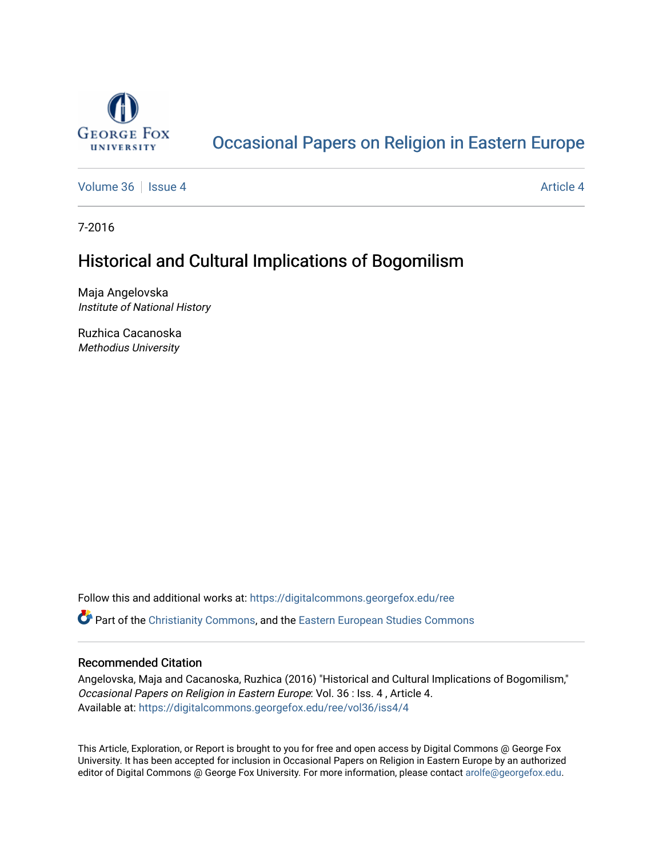

## [Occasional Papers on Religion in Eastern Europe](https://digitalcommons.georgefox.edu/ree)

[Volume 36](https://digitalcommons.georgefox.edu/ree/vol36) | [Issue 4](https://digitalcommons.georgefox.edu/ree/vol36/iss4) [Article 4](https://digitalcommons.georgefox.edu/ree/vol36/iss4/4) Article 4 Article 4 Article 4 Article 4 Article 4 Article 4

7-2016

# Historical and Cultural Implications of Bogomilism

Maja Angelovska Institute of National History

Ruzhica Cacanoska Methodius University

Follow this and additional works at: [https://digitalcommons.georgefox.edu/ree](https://digitalcommons.georgefox.edu/ree?utm_source=digitalcommons.georgefox.edu%2Free%2Fvol36%2Fiss4%2F4&utm_medium=PDF&utm_campaign=PDFCoverPages) 

**C** Part of the [Christianity Commons,](http://network.bepress.com/hgg/discipline/1181?utm_source=digitalcommons.georgefox.edu%2Free%2Fvol36%2Fiss4%2F4&utm_medium=PDF&utm_campaign=PDFCoverPages) and the [Eastern European Studies Commons](http://network.bepress.com/hgg/discipline/362?utm_source=digitalcommons.georgefox.edu%2Free%2Fvol36%2Fiss4%2F4&utm_medium=PDF&utm_campaign=PDFCoverPages)

### Recommended Citation

Angelovska, Maja and Cacanoska, Ruzhica (2016) "Historical and Cultural Implications of Bogomilism," Occasional Papers on Religion in Eastern Europe: Vol. 36 : Iss. 4 , Article 4. Available at: [https://digitalcommons.georgefox.edu/ree/vol36/iss4/4](https://digitalcommons.georgefox.edu/ree/vol36/iss4/4?utm_source=digitalcommons.georgefox.edu%2Free%2Fvol36%2Fiss4%2F4&utm_medium=PDF&utm_campaign=PDFCoverPages) 

This Article, Exploration, or Report is brought to you for free and open access by Digital Commons @ George Fox University. It has been accepted for inclusion in Occasional Papers on Religion in Eastern Europe by an authorized editor of Digital Commons @ George Fox University. For more information, please contact [arolfe@georgefox.edu.](mailto:arolfe@georgefox.edu)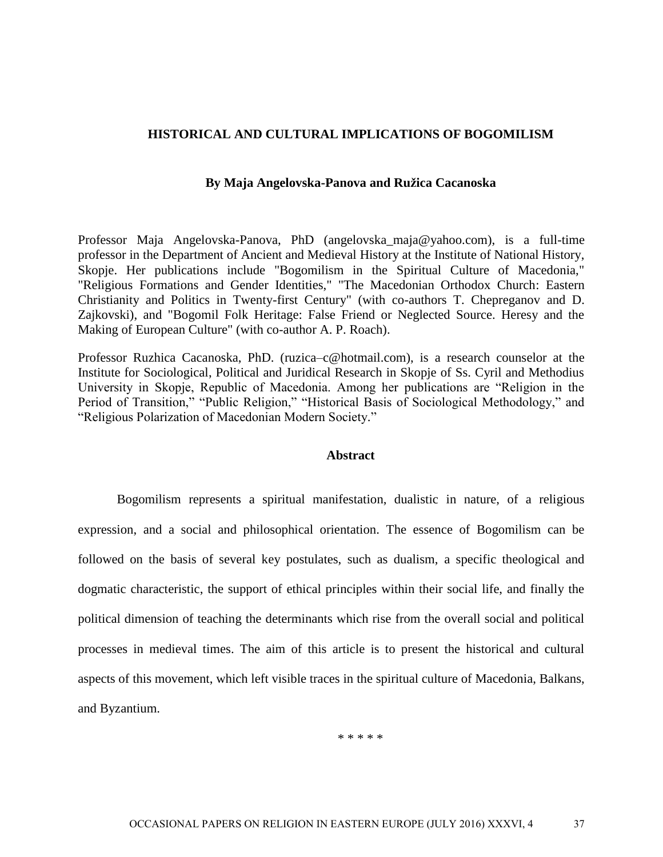#### **HISTORICAL AND CULTURAL IMPLICATIONS OF BOGOMILISM**

#### **By Maja Angelovska-Panova and Ružica Cacanoska**

Professor Maja Angelovska-Panova, PhD (angelovska\_maja@yahoo.com), is a full-time professor in the Department of Ancient and Medieval History at the Institute of National History, Skopje. Her publications include "Bogomilism in the Spiritual Culture of Macedonia," "Religious Formations and Gender Identities," "The Macedonian Orthodox Church: Eastern Christianity and Politics in Twenty-first Century" (with co-authors T. Chepreganov and D. Zajkovski), and "Bogomil Folk Heritage: False Friend or Neglected Source. Heresy and the Making of European Culture" (with co-author A. P. Roach).

Professor Ruzhica Cacanoska, PhD. (ruzica–c@hotmail.com), is a research counselor at the Institute for Sociological, Political and Juridical Research in Skopje of Ss. Cyril and Methodius University in Skopje, Republic of Macedonia. Among her publications are "Religion in the Period of Transition," "Public Religion," "Historical Basis of Sociological Methodology," and "Religious Polarization of Macedonian Modern Society."

#### **Abstract**

Bogomilism represents a spiritual manifestation, dualistic in nature, of a religious expression, and a social and philosophical orientation. The essence of Bogomilism can be followed on the basis of several key postulates, such as dualism, a specific theological and dogmatic characteristic, the support of ethical principles within their social life, and finally the political dimension of teaching the determinants which rise from the overall social and political processes in medieval times. The aim of this article is to present the historical and cultural aspects of this movement, which left visible traces in the spiritual culture of Macedonia, Balkans, and Byzantium.

\* \* \* \* \*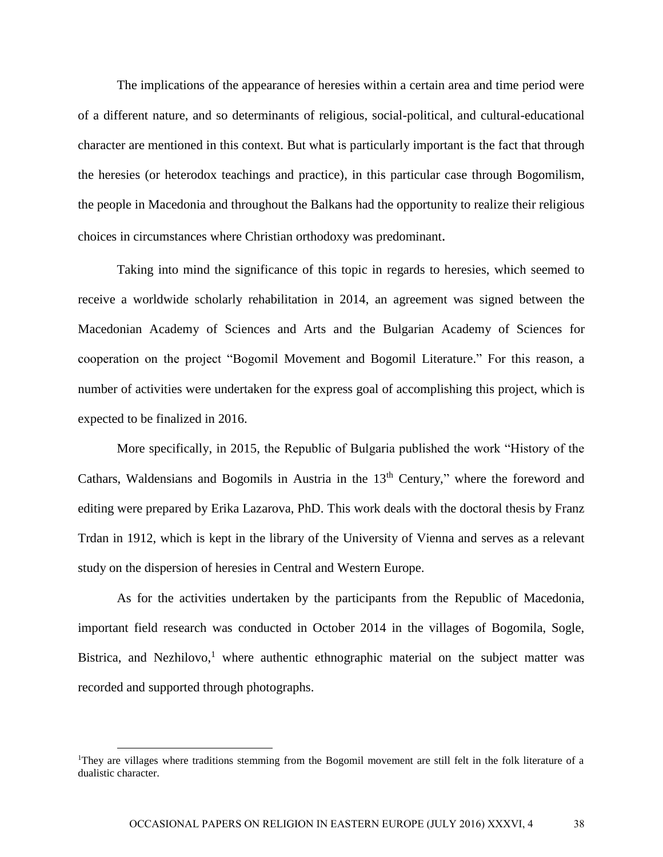The implications of the appearance of heresies within a certain area and time period were of a different nature, and so determinants of religious, social-political, and cultural-educational character are mentioned in this context. But what is particularly important is the fact that through the heresies (or heterodox teachings and practice), in this particular case through Bogomilism, the people in Macedonia and throughout the Balkans had the opportunity to realize their religious choices in circumstances where Christian orthodoxy was predominant.

Taking into mind the significance of this topic in regards to heresies, which seemed to receive a worldwide scholarly rehabilitation in 2014, an agreement was signed between the Macedonian Academy of Sciences and Arts and the Bulgarian Academy of Sciences for cooperation on the project "Bogomil Movement and Bogomil Literature." For this reason, a number of activities were undertaken for the express goal of accomplishing this project, which is expected to be finalized in 2016.

More specifically, in 2015, the Republic of Bulgaria published the work "History of the Cathars, Waldensians and Bogomils in Austria in the  $13<sup>th</sup>$  Century," where the foreword and editing were prepared by Erika Lazarova, PhD. This work deals with the doctoral thesis by Franz Trdan in 1912, which is kept in the library of the University of Vienna and serves as a relevant study on the dispersion of heresies in Central and Western Europe.

As for the activities undertaken by the participants from the Republic of Macedonia, important field research was conducted in October 2014 in the villages of Bogomila, Sogle, Bistrica, and Nezhilovo,<sup>1</sup> where authentic ethnographic material on the subject matter was recorded and supported through photographs.

<sup>1</sup>They are villages where traditions stemming from the Bogomil movement are still felt in the folk literature of a dualistic character.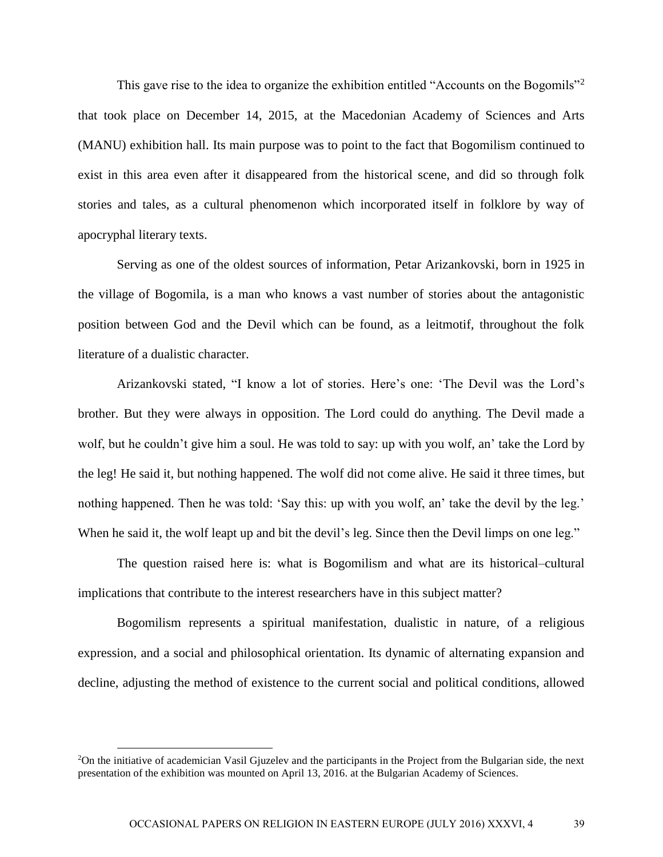This gave rise to the idea to organize the exhibition entitled "Accounts on the Bogomils"<sup>2</sup> that took place on December 14, 2015, at the Macedonian Academy of Sciences and Arts (MANU) exhibition hall. Its main purpose was to point to the fact that Bogomilism continued to exist in this area even after it disappeared from the historical scene, and did so through folk stories and tales, as a cultural phenomenon which incorporated itself in folklore by way of apocryphal literary texts.

Serving as one of the oldest sources of information, Petar Arizankovski, born in 1925 in the village of Bogomila, is a man who knows a vast number of stories about the antagonistic position between God and the Devil which can be found, as a leitmotif, throughout the folk literature of a dualistic character.

Arizankovski stated, "I know a lot of stories. Here's one: 'The Devil was the Lord's brother. But they were always in opposition. The Lord could do anything. The Devil made a wolf, but he couldn't give him a soul. He was told to say: up with you wolf, an' take the Lord by the leg! He said it, but nothing happened. The wolf did not come alive. He said it three times, but nothing happened. Then he was told: 'Say this: up with you wolf, an' take the devil by the leg.' When he said it, the wolf leapt up and bit the devil's leg. Since then the Devil limps on one leg."

The question raised here is: what is Bogomilism and what are its historical–cultural implications that contribute to the interest researchers have in this subject matter?

Bogomilism represents a spiritual manifestation, dualistic in nature, of a religious expression, and a social and philosophical orientation. Its dynamic of alternating expansion and decline, adjusting the method of existence to the current social and political conditions, allowed

<sup>2</sup>On the initiative of academician Vasil Gjuzelev and the participants in the Project from the Bulgarian side, the next presentation of the exhibition was mounted on April 13, 2016. at the Bulgarian Academy of Sciences.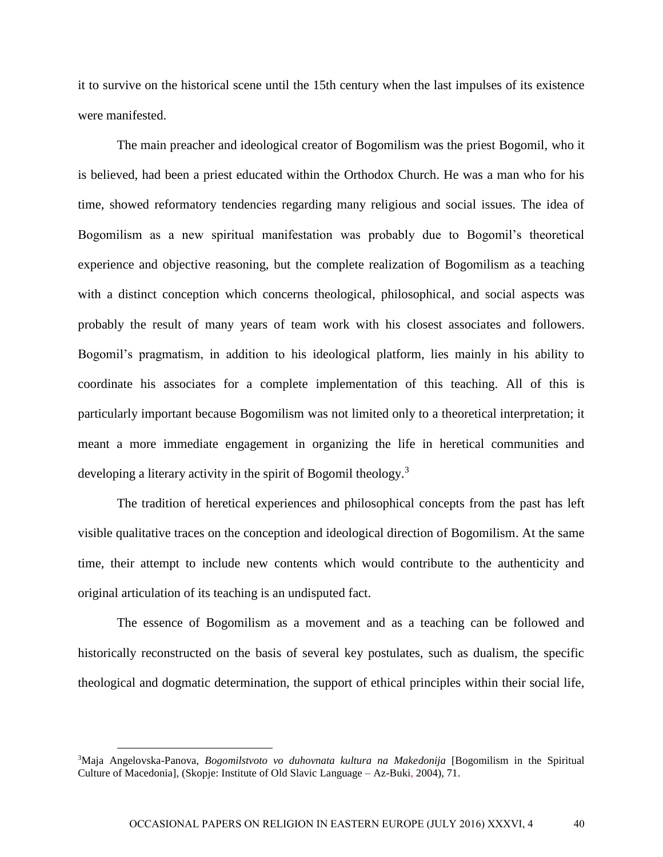it to survive on the historical scene until the 15th century when the last impulses of its existence were manifested.

The main preacher and ideological creator of Bogomilism was the priest Bogomil, who it is believed, had been a priest educated within the Orthodox Church. He was a man who for his time, showed reformatory tendencies regarding many religious and social issues. The idea of Bogomilism as a new spiritual manifestation was probably due to Bogomil's theoretical experience and objective reasoning, but the complete realization of Bogomilism as a teaching with a distinct conception which concerns theological, philosophical, and social aspects was probably the result of many years of team work with his closest associates and followers. Bogomil's pragmatism, in addition to his ideological platform, lies mainly in his ability to coordinate his associates for a complete implementation of this teaching. All of this is particularly important because Bogomilism was not limited only to a theoretical interpretation; it meant a more immediate engagement in organizing the life in heretical communities and developing a literary activity in the spirit of Bogomil theology.<sup>3</sup>

The tradition of heretical experiences and philosophical concepts from the past has left visible qualitative traces on the conception and ideological direction of Bogomilism. At the same time, their attempt to include new contents which would contribute to the authenticity and original articulation of its teaching is an undisputed fact.

The essence of Bogomilism as a movement and as a teaching can be followed and historically reconstructed on the basis of several key postulates, such as dualism, the specific theological and dogmatic determination, the support of ethical principles within their social life,

<sup>3</sup>Maja Angelovska-Panova, *Bogomilstvoto vo duhovnata kultura na Makedonija* [Bogomilism in the Spiritual Culture of Macedonia]*,* (Skopje: Institute of Old Slavic Language – Az-Buki, 2004), 71.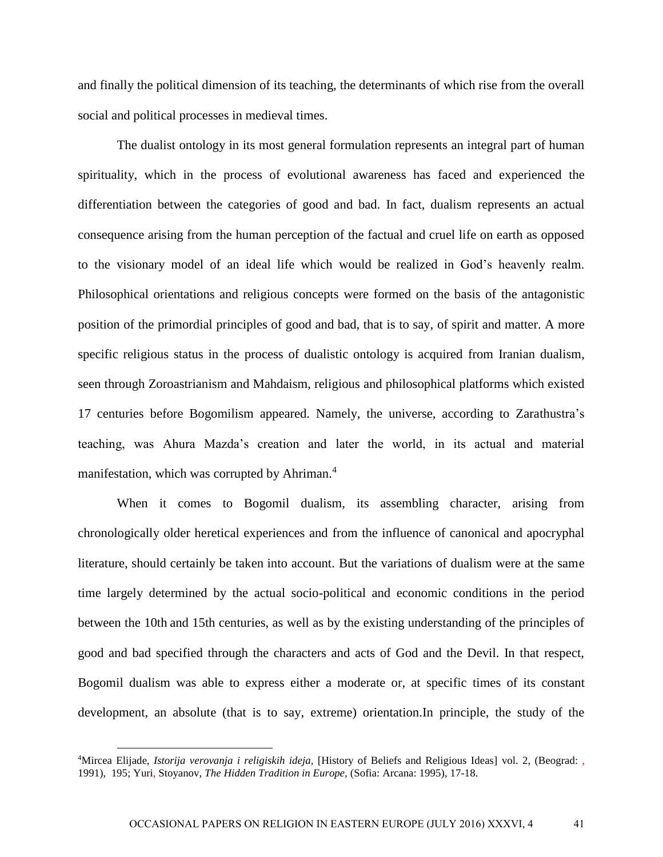and finally the political dimension of its teaching, the determinants of which rise from the overall social and political processes in medieval times.

The dualist ontology in its most general formulation represents an integral part of human spirituality, which in the process of evolutional awareness has faced and experienced the differentiation between the categories of good and bad. In fact, dualism represents an actual consequence arising from the human perception of the factual and cruel life on earth as opposed to the visionary model of an ideal life which would be realized in God's heavenly realm. Philosophical orientations and religious concepts were formed on the basis of the antagonistic position of the primordial principles of good and bad, that is to say, of spirit and matter. A more specific religious status in the process of dualistic ontology is acquired from Iranian dualism, seen through Zoroastrianism and Mahdaism, religious and philosophical platforms which existed 17 centuries before Bogomilism appeared. Namely, the universe, according to Zarathustra's teaching, was Ahura Mazda's creation and later the world, in its actual and material manifestation, which was corrupted by Ahriman.<sup>4</sup>

When it comes to Bogomil dualism, its assembling character, arising from chronologically older heretical experiences and from the influence of canonical and apocryphal literature, should certainly be taken into account. But the variations of dualism were at the same time largely determined by the actual socio-political and economic conditions in the period between the 10th and 15th centuries, as well as by the existing understanding of the principles of good and bad specified through the characters and acts of God and the Devil. In that respect, Bogomil dualism was able to express either a moderate or, at specific times of its constant development, an absolute (that is to say, extreme) orientation.In principle, the study of the

<sup>4</sup>Mircea Elijade, *Istorija verovanja i religiskih ideja,* [History of Beliefs and Religious Ideas] vol. 2, (Beograd: , 1991), 195; Yuri, Stoyanov, *The Hidden Tradition in Europe,* (Sofia: Arcana: 1995), 17-18.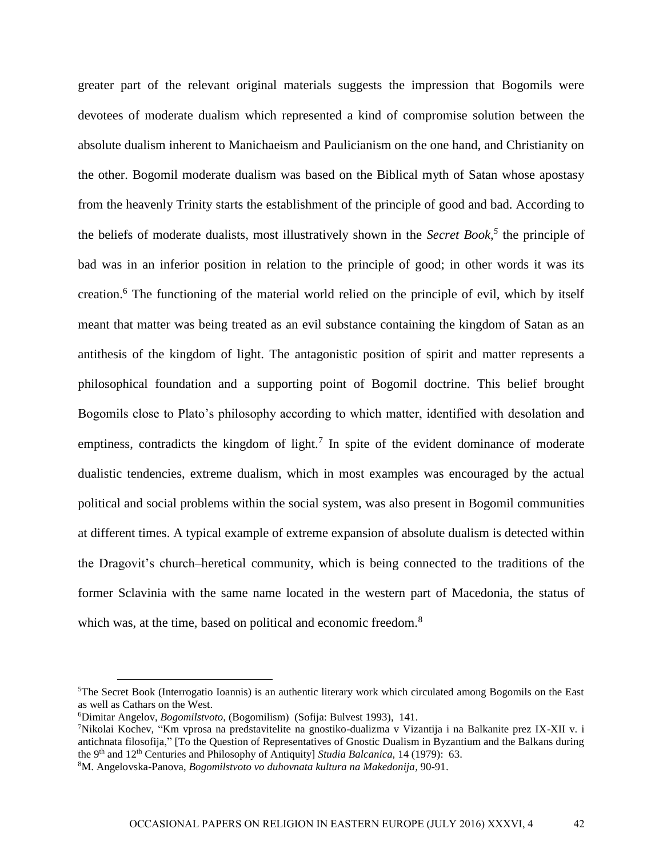greater part of the relevant original materials suggests the impression that Bogomils were devotees of moderate dualism which represented a kind of compromise solution between the absolute dualism inherent to Manichaeism and Paulicianism on the one hand, and Christianity on the other. Bogomil moderate dualism was based on the Biblical myth of Satan whose apostasy from the heavenly Trinity starts the establishment of the principle of good and bad. According to the beliefs of moderate dualists, most illustratively shown in the *Secret Book, 5* the principle of bad was in an inferior position in relation to the principle of good; in other words it was its creation.<sup>6</sup> The functioning of the material world relied on the principle of evil, which by itself meant that matter was being treated as an evil substance containing the kingdom of Satan as an antithesis of the kingdom of light. The antagonistic position of spirit and matter represents a philosophical foundation and a supporting point of Bogomil doctrine. This belief brought Bogomils close to Plato's philosophy according to which matter, identified with desolation and emptiness, contradicts the kingdom of light.<sup>7</sup> In spite of the evident dominance of moderate dualistic tendencies, extreme dualism, which in most examples was encouraged by the actual political and social problems within the social system, was also present in Bogomil communities at different times. A typical example of extreme expansion of absolute dualism is detected within the Dragovit's church–heretical community, which is being connected to the traditions of the former Sclavinia with the same name located in the western part of Macedonia, the status of which was, at the time, based on political and economic freedom.<sup>8</sup>

<sup>5</sup>The Secret Book (Interrogatio Ioannis) is an authentic literary work which circulated among Bogomils on the East as well as Cathars on the West.

<sup>6</sup>Dimitar Angelov, *Bogomilstvoto,* (Bogomilism) (Sofija: Bulvest 1993), 141.

<sup>7</sup>Nikolai Kochev, "Km vprosa na predstavitelite na gnostiko-dualizma v Vizantija i na Balkanite prez IX-XII v. i antichnata filosofija," [To the Question of Representatives of Gnostic Dualism in Byzantium and the Balkans during the 9th and 12th Centuries and Philosophy of Antiquity] *Studia Balcanica,* 14 (1979): 63.

<sup>8</sup>M. Angelovska-Panova, *Bogomilstvoto vo duhovnata kultura na Makedonija,* 90-91.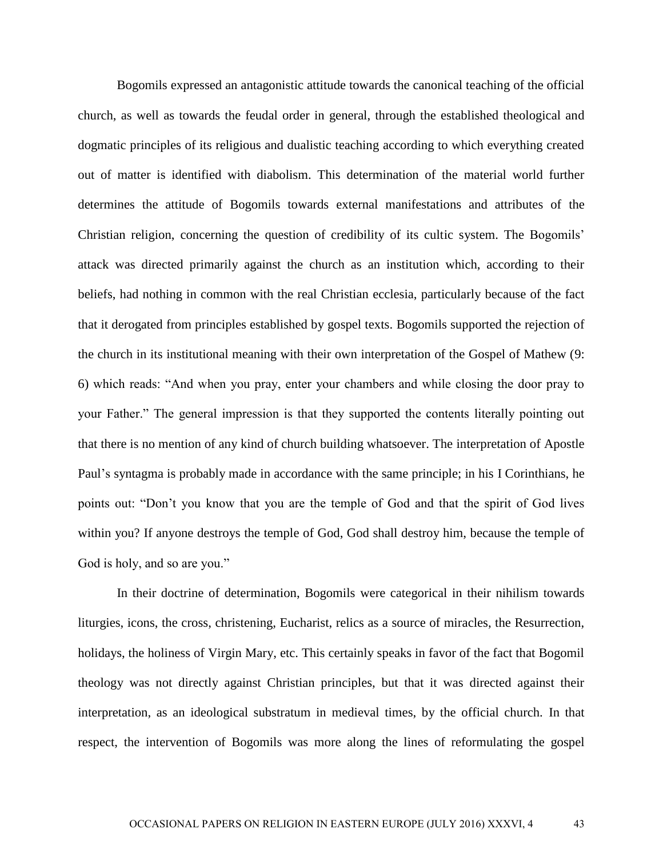Bogomils expressed an antagonistic attitude towards the canonical teaching of the official church, as well as towards the feudal order in general, through the established theological and dogmatic principles of its religious and dualistic teaching according to which everything created out of matter is identified with diabolism. This determination of the material world further determines the attitude of Bogomils towards external manifestations and attributes of the Christian religion, concerning the question of credibility of its cultic system. The Bogomils' attack was directed primarily against the church as an institution which, according to their beliefs, had nothing in common with the real Christian ecclesia, particularly because of the fact that it derogated from principles established by gospel texts. Bogomils supported the rejection of the church in its institutional meaning with their own interpretation of the Gospel of Mathew (9: 6) which reads: "And when you pray, enter your chambers and while closing the door pray to your Father." The general impression is that they supported the contents literally pointing out that there is no mention of any kind of church building whatsoever. The interpretation of Apostle Paul's syntagma is probably made in accordance with the same principle; in his I Corinthians, he points out: "Don't you know that you are the temple of God and that the spirit of God lives within you? If anyone destroys the temple of God, God shall destroy him, because the temple of God is holy, and so are you."

In their doctrine of determination, Bogomils were categorical in their nihilism towards liturgies, icons, the cross, christening, Eucharist, relics as a source of miracles, the Resurrection, holidays, the holiness of Virgin Mary, etc. This certainly speaks in favor of the fact that Bogomil theology was not directly against Christian principles, but that it was directed against their interpretation, as an ideological substratum in medieval times, by the official church. In that respect, the intervention of Bogomils was more along the lines of reformulating the gospel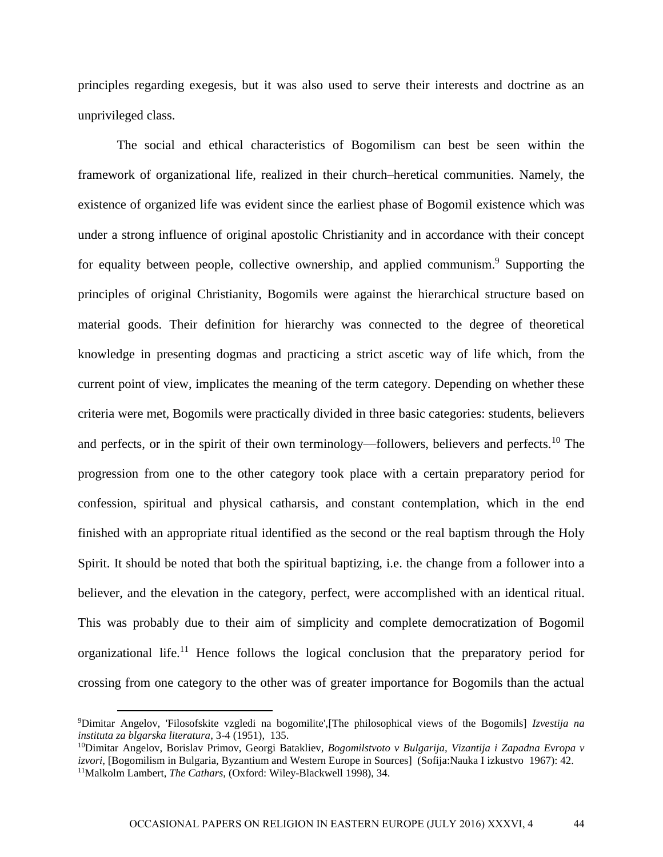principles regarding exegesis, but it was also used to serve their interests and doctrine as an unprivileged class.

The social and ethical characteristics of Bogomilism can best be seen within the framework of organizational life, realized in their church–heretical communities. Namely, the existence of organized life was evident since the earliest phase of Bogomil existence which was under a strong influence of original apostolic Christianity and in accordance with their concept for equality between people, collective ownership, and applied communism.<sup>9</sup> Supporting the principles of original Christianity, Bogomils were against the hierarchical structure based on material goods. Their definition for hierarchy was connected to the degree of theoretical knowledge in presenting dogmas and practicing a strict ascetic way of life which, from the current point of view, implicates the meaning of the term category. Depending on whether these criteria were met, Bogomils were practically divided in three basic categories: students, believers and perfects, or in the spirit of their own terminology—followers, believers and perfects.<sup>10</sup> The progression from one to the other category took place with a certain preparatory period for confession, spiritual and physical catharsis, and constant contemplation, which in the end finished with an appropriate ritual identified as the second or the real baptism through the Holy Spirit. It should be noted that both the spiritual baptizing, i.e. the change from a follower into a believer, and the elevation in the category, perfect, were accomplished with an identical ritual. This was probably due to their aim of simplicity and complete democratization of Bogomil organizational life.<sup>11</sup> Hence follows the logical conclusion that the preparatory period for crossing from one category to the other was of greater importance for Bogomils than the actual

<sup>9</sup>Dimitar Angelov, 'Filosofskite vzgledi na bogomilite',[The philosophical views of the Bogomils] *Izvestija na instituta za blgarska literatura*, 3-4 (1951), 135.

<sup>10</sup>Dimitar Angelov, Borislav Primov, Georgi Batakliev, *Bogomilstvoto v Bulgarija, Vizantija i Zapadna Evropa v izvori*, [Bogomilism in Bulgaria, Byzantium and Western Europe in Sources] (Sofija:Nauka I izkustvo 1967): 42. <sup>11</sup>Malkolm Lambert, *The Cathars,* (Oxford: Wiley-Blackwell 1998), 34.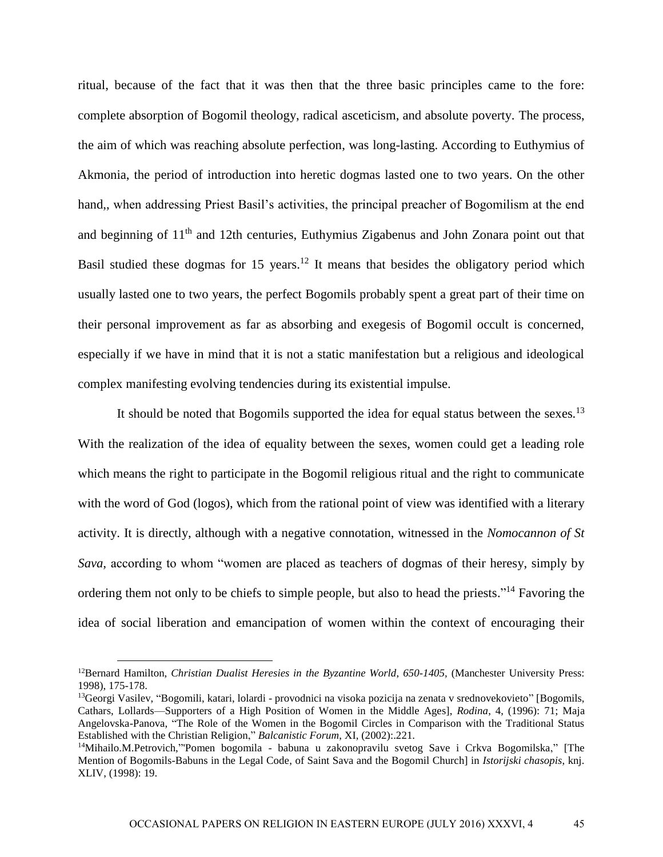ritual, because of the fact that it was then that the three basic principles came to the fore: complete absorption of Bogomil theology, radical asceticism, and absolute poverty. The process, the aim of which was reaching absolute perfection, was long-lasting. According to Euthymius of Akmonia, the period of introduction into heretic dogmas lasted one to two years. On the other hand,, when addressing Priest Basil's activities, the principal preacher of Bogomilism at the end and beginning of 11<sup>th</sup> and 12th centuries, Euthymius Zigabenus and John Zonara point out that Basil studied these dogmas for 15 years.<sup>12</sup> It means that besides the obligatory period which usually lasted one to two years, the perfect Bogomils probably spent a great part of their time on their personal improvement as far as absorbing and exegesis of Bogomil occult is concerned, especially if we have in mind that it is not a static manifestation but a religious and ideological complex manifesting evolving tendencies during its existential impulse.

It should be noted that Bogomils supported the idea for equal status between the sexes.<sup>13</sup> With the realization of the idea of equality between the sexes, women could get a leading role which means the right to participate in the Bogomil religious ritual and the right to communicate with the word of God (logos), which from the rational point of view was identified with a literary activity. It is directly, although with a negative connotation, witnessed in the *Nomocannon of St Sava,* according to whom "women are placed as teachers of dogmas of their heresy, simply by ordering them not only to be chiefs to simple people, but also to head the priests."<sup>14</sup> Favoring the idea of social liberation and emancipation of women within the context of encouraging their

<sup>12</sup>Bernard Hamilton, *Christian Dualist Heresies in the Byzantine World*, *650-1405,* (Manchester University Press: 1998), 175-178.

<sup>&</sup>lt;sup>13</sup>Georgi Vasilev, "Bogomili, katari, lolardi - provodnici na visoka pozicija na zenata v srednovekovieto" [Bogomils, Cathars, Lollards—Supporters of a High Position of Women in the Middle Ages], *Rodina*, 4, (1996): 71; Maja Angelovska-Panova, "The Role of the Women in the Bogomil Circles in Comparison with the Traditional Status Established with the Christian Religion," *Balcanistic Forum*, XI, (2002):.221.

<sup>&</sup>lt;sup>14</sup>Mihailo.M.Petrovich,"'Pomen bogomila - babuna u zakonopravilu svetog Save i Crkva Bogomilska," [The Mention of Bogomils-Babuns in the Legal Code, of Saint Sava and the Bogomil Church] in *Istorijski chasopis*, knj. XLIV, (1998): 19.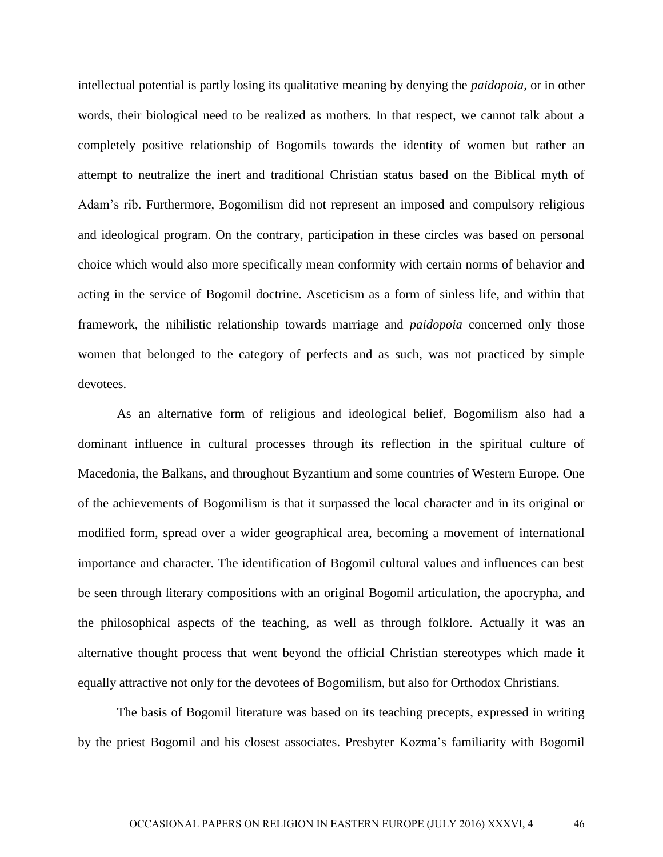intellectual potential is partly losing its qualitative meaning by denying the *paidopoia,* or in other words, their biological need to be realized as mothers. In that respect, we cannot talk about a completely positive relationship of Bogomils towards the identity of women but rather an attempt to neutralize the inert and traditional Christian status based on the Biblical myth of Adam's rib. Furthermore, Bogomilism did not represent an imposed and compulsory religious and ideological program. On the contrary, participation in these circles was based on personal choice which would also more specifically mean conformity with certain norms of behavior and acting in the service of Bogomil doctrine. Asceticism as a form of sinless life, and within that framework, the nihilistic relationship towards marriage and *paidopoia* concerned only those women that belonged to the category of perfects and as such, was not practiced by simple devotees.

As an alternative form of religious and ideological belief, Bogomilism also had a dominant influence in cultural processes through its reflection in the spiritual culture of Macedonia, the Balkans, and throughout Byzantium and some countries of Western Europe. One of the achievements of Bogomilism is that it surpassed the local character and in its original or modified form, spread over a wider geographical area, becoming a movement of international importance and character. The identification of Bogomil cultural values and influences can best be seen through literary compositions with an original Bogomil articulation, the apocrypha, and the philosophical aspects of the teaching, as well as through folklore. Actually it was an alternative thought process that went beyond the official Christian stereotypes which made it equally attractive not only for the devotees of Bogomilism, but also for Orthodox Christians.

The basis of Bogomil literature was based on its teaching precepts, expressed in writing by the priest Bogomil and his closest associates. Presbyter Kozma's familiarity with Bogomil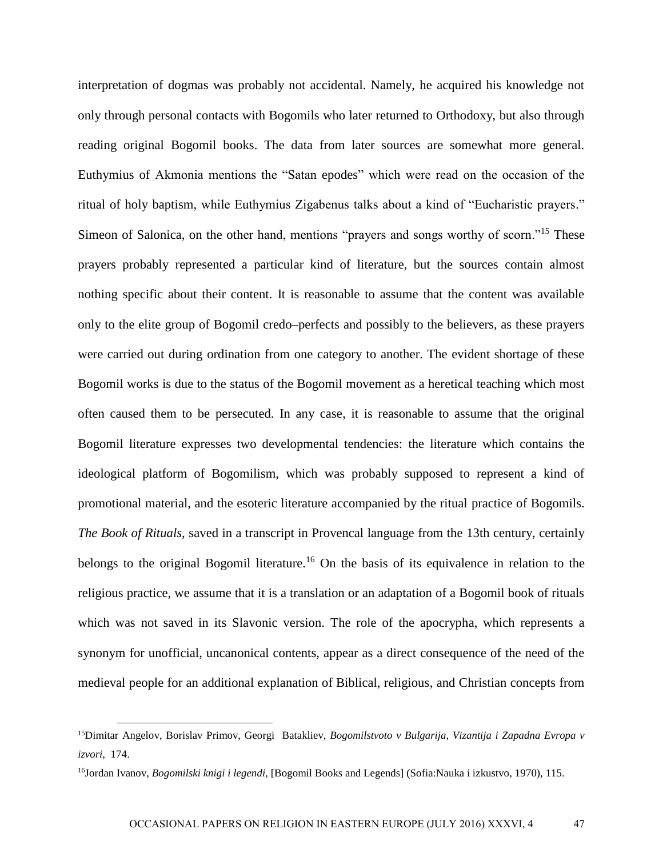interpretation of dogmas was probably not accidental. Namely, he acquired his knowledge not only through personal contacts with Bogomils who later returned to Orthodoxy, but also through reading original Bogomil books. The data from later sources are somewhat more general. Euthymius of Akmonia mentions the "Satan epodes" which were read on the occasion of the ritual of holy baptism, while Euthymius Zigabenus talks about a kind of "Eucharistic prayers." Simeon of Salonica, on the other hand, mentions "prayers and songs worthy of scorn."<sup>15</sup> These prayers probably represented a particular kind of literature, but the sources contain almost nothing specific about their content. It is reasonable to assume that the content was available only to the elite group of Bogomil credo–perfects and possibly to the believers, as these prayers were carried out during ordination from one category to another. The evident shortage of these Bogomil works is due to the status of the Bogomil movement as a heretical teaching which most often caused them to be persecuted. In any case, it is reasonable to assume that the original Bogomil literature expresses two developmental tendencies: the literature which contains the ideological platform of Bogomilism, which was probably supposed to represent a kind of promotional material, and the esoteric literature accompanied by the ritual practice of Bogomils. *The Book of Rituals,* saved in a transcript in Provencal language from the 13th century, certainly belongs to the original Bogomil literature.<sup>16</sup> On the basis of its equivalence in relation to the religious practice, we assume that it is a translation or an adaptation of a Bogomil book of rituals which was not saved in its Slavonic version. The role of the apocrypha, which represents a synonym for unofficial, uncanonical contents, appear as a direct consequence of the need of the medieval people for an additional explanation of Biblical, religious, and Christian concepts from

<sup>15</sup>Dimitar Angelov, Borislav Primov, Georgi Batakliev, *Bogomilstvoto v Bulgarija, Vizantija i Zapadna Evropa v izvori,* 174.

<sup>16</sup>Jordan Ivanov, *Bogomilski knigi i legendi,* [Bogomil Books and Legends] (Sofia:Nauka i izkustvo, 1970), 115.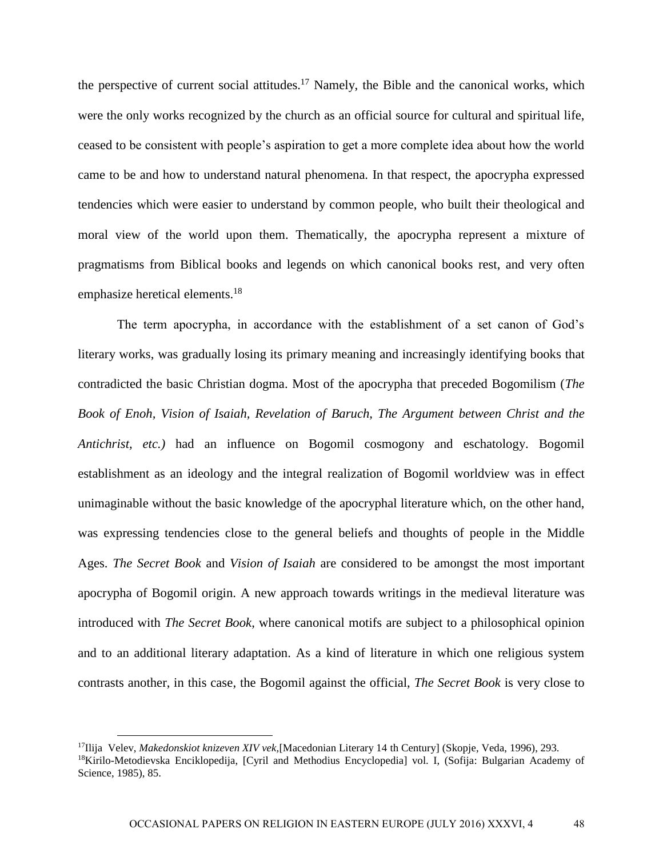the perspective of current social attitudes.<sup>17</sup> Namely, the Bible and the canonical works, which were the only works recognized by the church as an official source for cultural and spiritual life, ceased to be consistent with people's aspiration to get a more complete idea about how the world came to be and how to understand natural phenomena. In that respect, the apocrypha expressed tendencies which were easier to understand by common people, who built their theological and moral view of the world upon them. Thematically, the apocrypha represent a mixture of pragmatisms from Biblical books and legends on which canonical books rest, and very often emphasize heretical elements.<sup>18</sup>

The term apocrypha, in accordance with the establishment of a set canon of God's literary works, was gradually losing its primary meaning and increasingly identifying books that contradicted the basic Christian dogma. Most of the apocrypha that preceded Bogomilism (*The Book of Enoh, Vision of Isaiah, Revelation of Baruch, The Argument between Christ and the Antichrist, etc.)* had an influence on Bogomil cosmogony and eschatology. Bogomil establishment as an ideology and the integral realization of Bogomil worldview was in effect unimaginable without the basic knowledge of the apocryphal literature which, on the other hand, was expressing tendencies close to the general beliefs and thoughts of people in the Middle Ages. *The Secret Book* and *Vision of Isaiah* are considered to be amongst the most important apocrypha of Bogomil origin. A new approach towards writings in the medieval literature was introduced with *The Secret Book*, where canonical motifs are subject to a philosophical opinion and to an additional literary adaptation. As a kind of literature in which one religious system contrasts another, in this case, the Bogomil against the official, *The Secret Book* is very close to

<sup>17</sup>Ilija Velev, *Makedonskiot knizeven XIV vek,*[Macedonian Literary 14 th Century] (Skopje, Veda, 1996), 293. <sup>18</sup>Kirilo-Metodievska Enciklopedija, [Cyril and Methodius Encyclopedia] vol. I, (Sofija: Bulgarian Academy of Science, 1985), 85.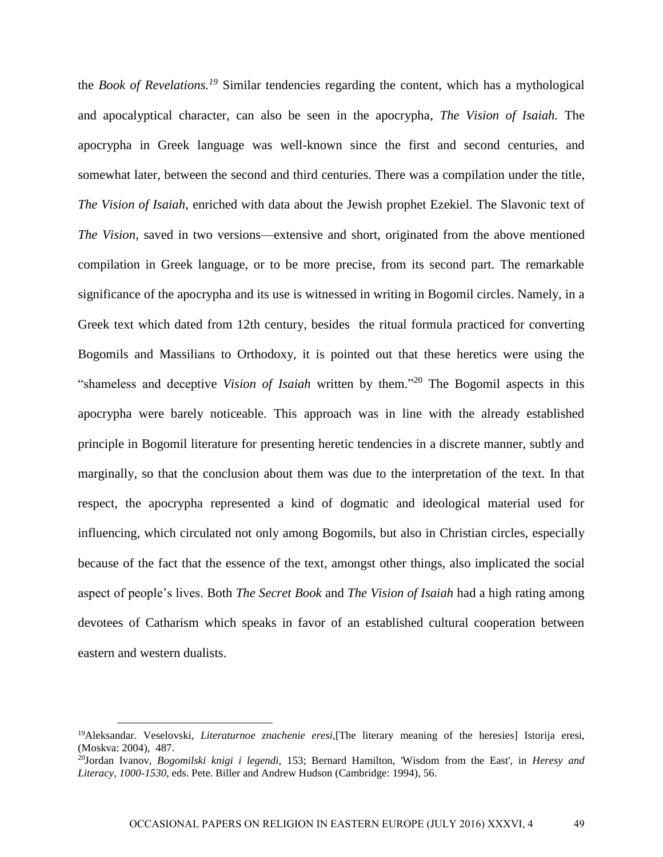the *Book of Revelations.<sup>19</sup>* Similar tendencies regarding the content, which has a mythological and apocalyptical character, can also be seen in the apocrypha, *The Vision of Isaiah.* The apocrypha in Greek language was well-known since the first and second centuries, and somewhat later, between the second and third centuries. There was a compilation under the title, *The Vision of Isaiah,* enriched with data about the Jewish prophet Ezekiel. The Slavonic text of *The Vision*, saved in two versions—extensive and short, originated from the above mentioned compilation in Greek language, or to be more precise, from its second part. The remarkable significance of the apocrypha and its use is witnessed in writing in Bogomil circles. Namely, in a Greek text which dated from 12th century, besides the ritual formula practiced for converting Bogomils and Massilians to Orthodoxy, it is pointed out that these heretics were using the "shameless and deceptive *Vision of Isaiah* written by them." <sup>20</sup> The Bogomil aspects in this apocrypha were barely noticeable. This approach was in line with the already established principle in Bogomil literature for presenting heretic tendencies in a discrete manner, subtly and marginally, so that the conclusion about them was due to the interpretation of the text. In that respect, the apocrypha represented a kind of dogmatic and ideological material used for influencing, which circulated not only among Bogomils, but also in Christian circles, especially because of the fact that the essence of the text, amongst other things, also implicated the social aspect of people's lives. Both *The Secret Book* and *The Vision of Isaiah* had a high rating among devotees of Catharism which speaks in favor of an established cultural cooperation between eastern and western dualists.

<sup>19</sup>Aleksandar. Veselovski, *Literaturnoe znachenie eresi,*[The literary meaning of the heresies] Istorija eresi, (Moskva: 2004), 487.

<sup>20</sup>Jordan Ivanov, *Bogomilski knigi i legendi,* 153; Bernard Hamilton, 'Wisdom from the East', in *Heresy and Literacy, 1000-1530,* eds. Pete. Biller and Andrew Hudson (Cambridge: 1994), 56.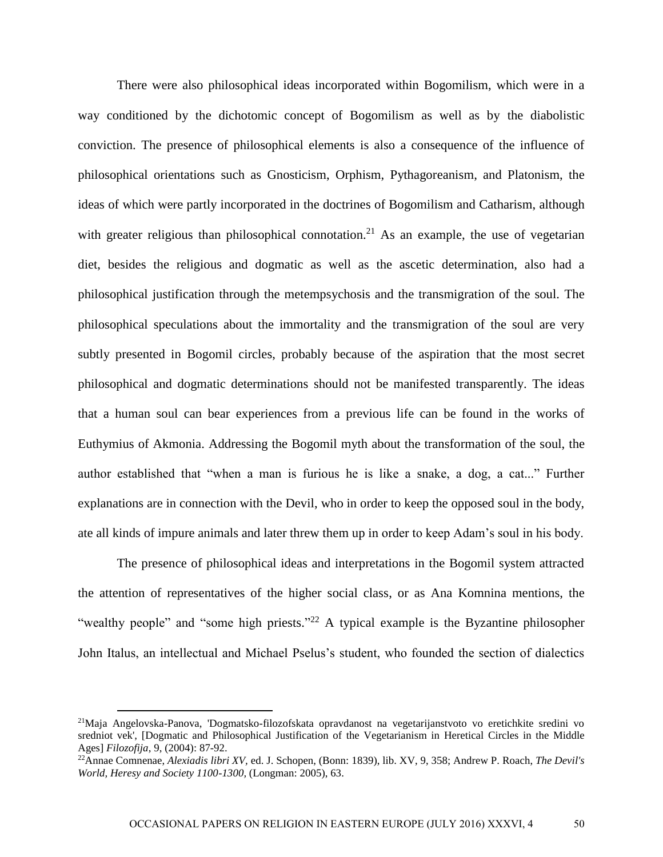There were also philosophical ideas incorporated within Bogomilism, which were in a way conditioned by the dichotomic concept of Bogomilism as well as by the diabolistic conviction. The presence of philosophical elements is also a consequence of the influence of philosophical orientations such as Gnosticism, Orphism, Pythagoreanism, and Platonism, the ideas of which were partly incorporated in the doctrines of Bogomilism and Catharism, although with greater religious than philosophical connotation.<sup>21</sup> As an example, the use of vegetarian diet, besides the religious and dogmatic as well as the ascetic determination, also had a philosophical justification through the metempsychosis and the transmigration of the soul. The philosophical speculations about the immortality and the transmigration of the soul are very subtly presented in Bogomil circles, probably because of the aspiration that the most secret philosophical and dogmatic determinations should not be manifested transparently. The ideas that a human soul can bear experiences from a previous life can be found in the works of Euthymius of Akmonia. Addressing the Bogomil myth about the transformation of the soul, the author established that "when a man is furious he is like a snake, a dog, a cat..." Further explanations are in connection with the Devil, who in order to keep the opposed soul in the body, ate all kinds of impure animals and later threw them up in order to keep Adam's soul in his body.

The presence of philosophical ideas and interpretations in the Bogomil system attracted the attention of representatives of the higher social class, or as Ana Komnina mentions, the "wealthy people" and "some high priests."<sup>22</sup> A typical example is the Byzantine philosopher John Italus, an intellectual and Michael Pselus's student, who founded the section of dialectics

<sup>21</sup>Maja Angelovska-Panova, 'Dogmatsko-filozofskata opravdanost na vegetarijanstvoto vo eretichkite sredini vo sredniot vek', [Dogmatic and Philosophical Justification of the Vegetarianism in Heretical Circles in the Middle Ages] *Filozofija*, 9, (2004): 87-92.

<sup>22</sup>Annae Comnenae, *Alexiadis libri XV,* ed. J. Schopen, (Bonn: 1839), lib. XV, 9, 358; Andrew P. Roach, *The Devil's World, Heresy and Society 1100-1300,* (Longman: 2005), 63.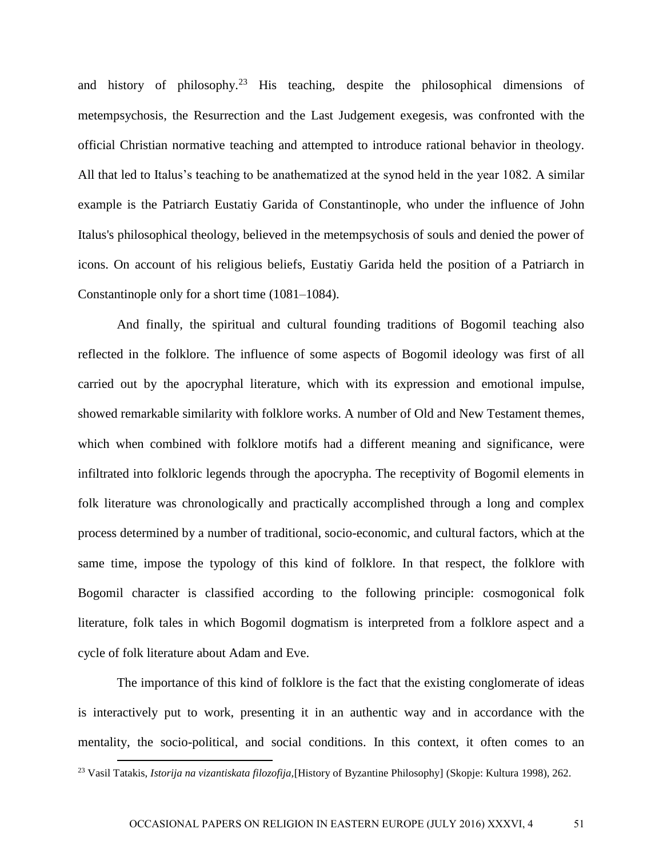and history of philosophy.<sup>23</sup> His teaching, despite the philosophical dimensions of metempsychosis, the Resurrection and the Last Judgement exegesis, was confronted with the official Christian normative teaching and attempted to introduce rational behavior in theology. All that led to Italus's teaching to be anathematized at the synod held in the year 1082. A similar example is the Patriarch Eustatiy Garida of Constantinople, who under the influence of John Italus's philosophical theology, believed in the metempsychosis of souls and denied the power of icons. On account of his religious beliefs, Eustatiy Garida held the position of a Patriarch in Constantinople only for a short time (1081–1084).

And finally, the spiritual and cultural founding traditions of Bogomil teaching also reflected in the folklore. The influence of some aspects of Bogomil ideology was first of all carried out by the apocryphal literature, which with its expression and emotional impulse, showed remarkable similarity with folklore works. A number of Old and New Testament themes, which when combined with folklore motifs had a different meaning and significance, were infiltrated into folkloric legends through the apocrypha. The receptivity of Bogomil elements in folk literature was chronologically and practically accomplished through a long and complex process determined by a number of traditional, socio-economic, and cultural factors, which at the same time, impose the typology of this kind of folklore. In that respect, the folklore with Bogomil character is classified according to the following principle: cosmogonical folk literature, folk tales in which Bogomil dogmatism is interpreted from a folklore aspect and a cycle of folk literature about Adam and Eve.

The importance of this kind of folklore is the fact that the existing conglomerate of ideas is interactively put to work, presenting it in an authentic way and in accordance with the mentality, the socio-political, and social conditions. In this context, it often comes to an

<sup>23</sup> Vasil Tatakis, *Istorija na vizantiskata filozofija,*[History of Byzantine Philosophy] (Skopje: Kultura 1998), 262.